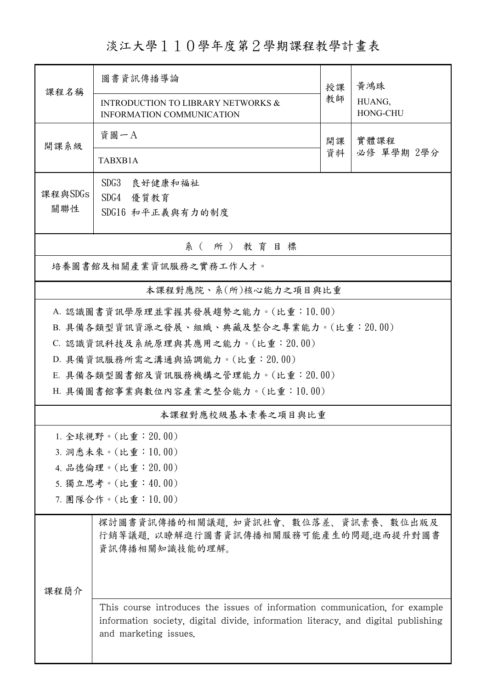淡江大學110學年度第2學期課程教學計畫表

| 课程名稱                   | 圖書資訊傳播導論<br>授課                                                                                                                                                                            |    | 黃鴻珠                |  |  |  |
|------------------------|-------------------------------------------------------------------------------------------------------------------------------------------------------------------------------------------|----|--------------------|--|--|--|
|                        | <b>INTRODUCTION TO LIBRARY NETWORKS &amp;</b><br><b>INFORMATION COMMUNICATION</b>                                                                                                         | 教師 | HUANG,<br>HONG-CHU |  |  |  |
| 開課系級                   | 資圖一A                                                                                                                                                                                      | 開課 | 實體課程<br>必修 單學期 2學分 |  |  |  |
|                        | TABXB1A                                                                                                                                                                                   | 資料 |                    |  |  |  |
| 課程與SDGs                | SDG3<br>良好健康和福祉                                                                                                                                                                           |    |                    |  |  |  |
| 關聯性                    | SDG4 優質教育<br>SDG16 和平正義與有力的制度                                                                                                                                                             |    |                    |  |  |  |
| 系(所)教育目標               |                                                                                                                                                                                           |    |                    |  |  |  |
| 培養圖書館及相關產業資訊服務之實務工作人才。 |                                                                                                                                                                                           |    |                    |  |  |  |
|                        | 本課程對應院、系(所)核心能力之項目與比重                                                                                                                                                                     |    |                    |  |  |  |
|                        | A. 認識圖書資訊學原理並掌握其發展趨勢之能力。(比重:10.00)                                                                                                                                                        |    |                    |  |  |  |
|                        | B. 具備各類型資訊資源之發展、組織、典藏及整合之專業能力。(比重:20.00)                                                                                                                                                  |    |                    |  |  |  |
|                        | C. 認識資訊科技及系統原理與其應用之能力。(比重: 20.00)                                                                                                                                                         |    |                    |  |  |  |
|                        | D. 具備資訊服務所需之溝通與協調能力。(比重: 20.00)                                                                                                                                                           |    |                    |  |  |  |
|                        | E. 具備各類型圖書館及資訊服務機構之管理能力。(比重:20.00)                                                                                                                                                        |    |                    |  |  |  |
|                        | H. 具備圖書館事業與數位內容產業之整合能力。(比重:10.00)                                                                                                                                                         |    |                    |  |  |  |
|                        | 本課程對應校級基本素養之項目與比重                                                                                                                                                                         |    |                    |  |  |  |
|                        | 1. 全球視野。(比重: 20.00)                                                                                                                                                                       |    |                    |  |  |  |
|                        | 3. 洞悉未來。(比重:10.00)                                                                                                                                                                        |    |                    |  |  |  |
|                        | 4. 品德倫理。(比重: 20.00)                                                                                                                                                                       |    |                    |  |  |  |
|                        | 5. 獨立思考。(比重:40.00)                                                                                                                                                                        |    |                    |  |  |  |
|                        | 7. 團隊合作。(比重:10.00)                                                                                                                                                                        |    |                    |  |  |  |
|                        | 探討圖書資訊傳播的相關議題,如資訊社會、數位落差、資訊素養、數位出版及<br>行銷等議題, 以瞭解進行圖書資訊傳播相關服務可能產生的問題,進而提升對圖書<br>資訊傳播相關知識技能的理解。                                                                                            |    |                    |  |  |  |
| 课程简介                   |                                                                                                                                                                                           |    |                    |  |  |  |
|                        | This course introduces the issues of information communication, for example<br>information society, digital divide, information literacy, and digital publishing<br>and marketing issues. |    |                    |  |  |  |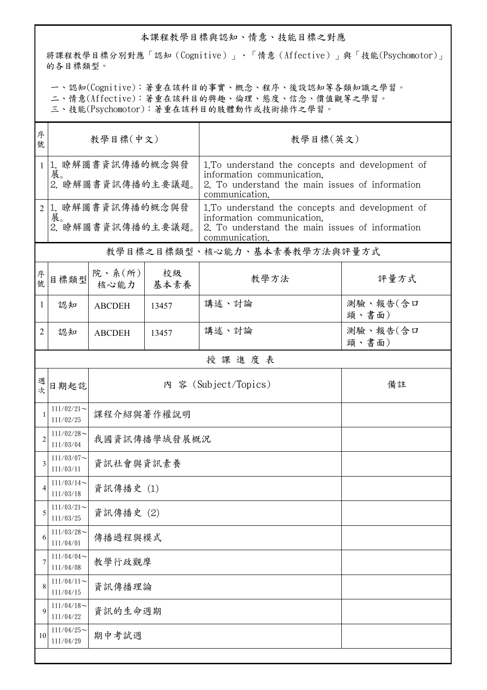## 本課程教學目標與認知、情意、技能目標之對應

將課程教學目標分別對應「認知(Cognitive)」、「情意(Affective)」與「技能(Psychomotor)」 的各目標類型。

一、認知(Cognitive):著重在該科目的事實、概念、程序、後設認知等各類知識之學習。

二、情意(Affective):著重在該科目的興趣、倫理、態度、信念、價值觀等之學習。

三、技能(Psychomotor):著重在該科目的肢體動作或技術操作之學習。

| 序<br>號         | 教學目標(中文)                                     |                              |            | 教學目標(英文)                                                                                                                                            |                   |  |
|----------------|----------------------------------------------|------------------------------|------------|-----------------------------------------------------------------------------------------------------------------------------------------------------|-------------------|--|
| $\mathbf{1}$   | 1. 瞭解圖書資訊傳播的概念與發<br>展。<br>2. 瞭解圖書資訊傳播的主要議題。  |                              |            | 1. To understand the concepts and development of<br>information communication.<br>2. To understand the main issues of information<br>communication. |                   |  |
|                | 21. 瞭解圖書資訊傳播的概念與發<br>展。<br>2. 瞭解圖書資訊傳播的主要議題。 |                              |            | 1. To understand the concepts and development of<br>information communication.<br>2. To understand the main issues of information<br>communication. |                   |  |
|                |                                              |                              |            | 教學目標之目標類型、核心能力、基本素養教學方法與評量方式                                                                                                                        |                   |  |
| 序號             | 目標類型                                         | 院、系 $(\hbox{\tt m})$<br>核心能力 | 校級<br>基本素養 | 教學方法                                                                                                                                                | 評量方式              |  |
| $\mathbf{1}$   | 認知                                           | <b>ABCDEH</b>                | 13457      | 講述、討論                                                                                                                                               | 測驗、報告(含口<br>頭、書面) |  |
| 2              | 認知                                           | <b>ABCDEH</b>                | 13457      | 講述、討論                                                                                                                                               | 測驗、報告(含口<br>頭、書面) |  |
|                |                                              |                              |            | 授課進度表                                                                                                                                               |                   |  |
| 週次             | 日期起訖                                         |                              |            | 內 容 (Subject/Topics)                                                                                                                                | 備註                |  |
|                | $111/02/21$ ~<br>111/02/25                   | 課程介紹與著作權說明                   |            |                                                                                                                                                     |                   |  |
| $\overline{2}$ | $111/02/28$ ~<br>111/03/04                   | 我國資訊傳播學域發展概況                 |            |                                                                                                                                                     |                   |  |
| 3              | $111/03/07$ ~<br>111/03/11                   | 資訊社會與資訊素養                    |            |                                                                                                                                                     |                   |  |
| 4              | $111/03/14$ ~<br>111/03/18                   | 資訊傳播史 (1)                    |            |                                                                                                                                                     |                   |  |
| 5              | $111/03/21$ ~<br>111/03/25                   | 資訊傳播史 (2)                    |            |                                                                                                                                                     |                   |  |
| 6              | $111/03/28$ ~<br>111/04/01                   | 傳播過程與模式                      |            |                                                                                                                                                     |                   |  |
|                | $111/04/04$ ~<br>111/04/08                   | 教學行政觀摩                       |            |                                                                                                                                                     |                   |  |
| 8              | $111/04/11$ ~<br>111/04/15                   | 資訊傳播理論                       |            |                                                                                                                                                     |                   |  |
| 9              | $111/04/18$ ~<br>111/04/22                   | 資訊的生命週期                      |            |                                                                                                                                                     |                   |  |
| 10             | $111/04/25$ ~<br>111/04/29                   | 期中考試週                        |            |                                                                                                                                                     |                   |  |
|                |                                              |                              |            |                                                                                                                                                     |                   |  |